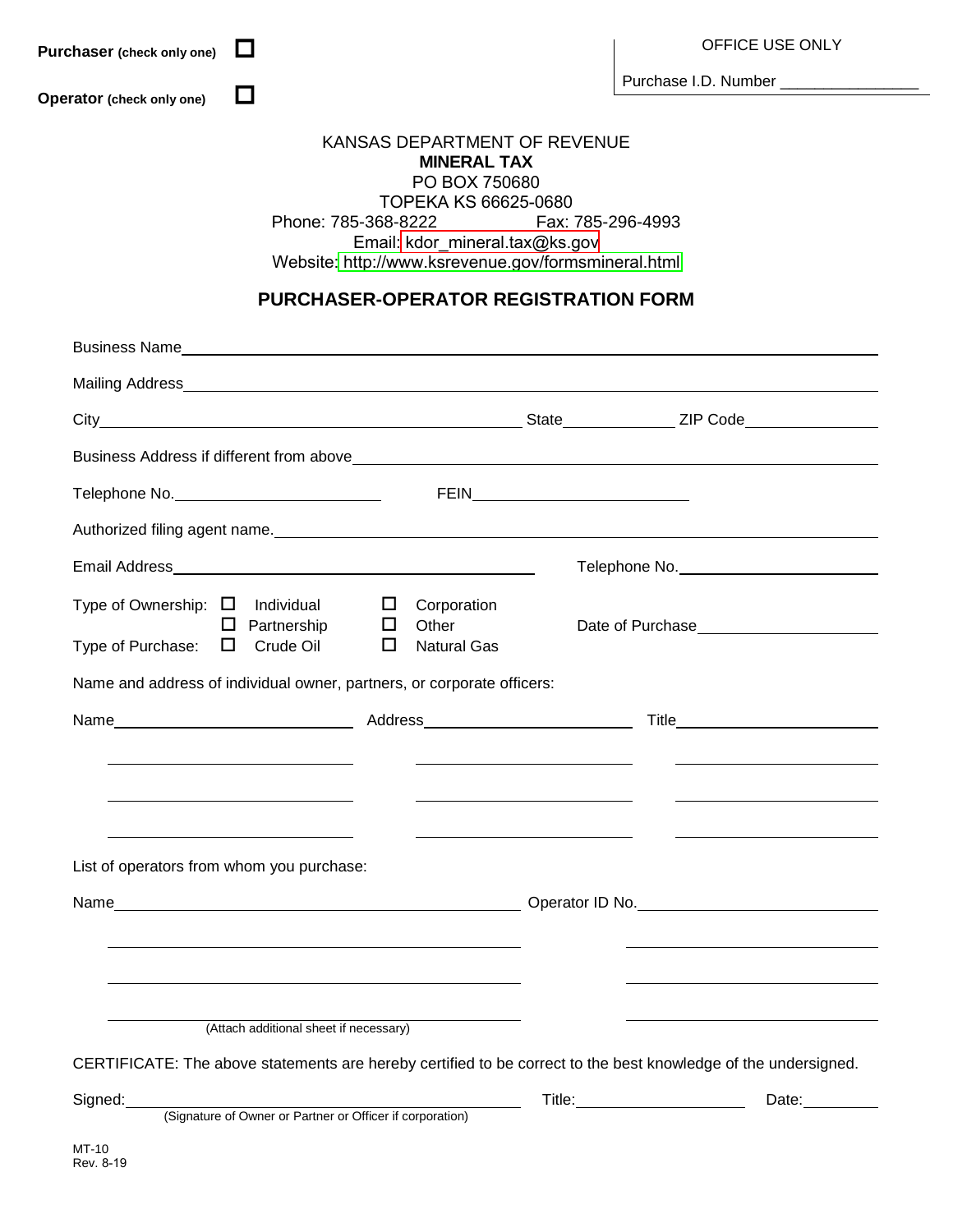| $\Box$<br>Purchaser (check only one)                                                          |                                        |                                                                                                                                                                                                                               |  | OFFICE USE ONLY                                                                                                                                                                                                                       |  |
|-----------------------------------------------------------------------------------------------|----------------------------------------|-------------------------------------------------------------------------------------------------------------------------------------------------------------------------------------------------------------------------------|--|---------------------------------------------------------------------------------------------------------------------------------------------------------------------------------------------------------------------------------------|--|
|                                                                                               | $\Box$                                 |                                                                                                                                                                                                                               |  | Purchase I.D. Number _________________                                                                                                                                                                                                |  |
| Operator (check only one)                                                                     |                                        |                                                                                                                                                                                                                               |  |                                                                                                                                                                                                                                       |  |
|                                                                                               |                                        | KANSAS DEPARTMENT OF REVENUE<br><b>MINERAL TAX</b><br>PO BOX 750680<br>TOPEKA KS 66625-0680<br>Phone: 785-368-8222 Fax: 785-296-4993<br>Email: kdor_mineral.tax@ks.gov<br>Website: http://www.ksrevenue.gov/formsmineral.html |  |                                                                                                                                                                                                                                       |  |
|                                                                                               |                                        | <b>PURCHASER-OPERATOR REGISTRATION FORM</b>                                                                                                                                                                                   |  |                                                                                                                                                                                                                                       |  |
|                                                                                               |                                        |                                                                                                                                                                                                                               |  |                                                                                                                                                                                                                                       |  |
|                                                                                               |                                        |                                                                                                                                                                                                                               |  |                                                                                                                                                                                                                                       |  |
|                                                                                               |                                        |                                                                                                                                                                                                                               |  |                                                                                                                                                                                                                                       |  |
|                                                                                               |                                        |                                                                                                                                                                                                                               |  |                                                                                                                                                                                                                                       |  |
|                                                                                               |                                        |                                                                                                                                                                                                                               |  |                                                                                                                                                                                                                                       |  |
|                                                                                               |                                        |                                                                                                                                                                                                                               |  | Authorized filing agent name.<br><u> and</u> the contract of the contract of the contract of the contract of the contract of the contract of the contract of the contract of the contract of the contract of the contract of the cont |  |
|                                                                                               |                                        |                                                                                                                                                                                                                               |  |                                                                                                                                                                                                                                       |  |
| Type of Ownership: $\Box$ Individual $\Box$ Corporation<br>Type of Purchase: $\Box$ Crude Oil | $\Box$ Partnership $\Box$ Other        | $\Box$<br><b>Natural Gas</b>                                                                                                                                                                                                  |  |                                                                                                                                                                                                                                       |  |
| Name and address of individual owner, partners, or corporate officers:                        |                                        |                                                                                                                                                                                                                               |  |                                                                                                                                                                                                                                       |  |
| Name                                                                                          |                                        | Address                                                                                                                                                                                                                       |  | Title                                                                                                                                                                                                                                 |  |
|                                                                                               |                                        |                                                                                                                                                                                                                               |  |                                                                                                                                                                                                                                       |  |
|                                                                                               |                                        |                                                                                                                                                                                                                               |  |                                                                                                                                                                                                                                       |  |
|                                                                                               |                                        |                                                                                                                                                                                                                               |  |                                                                                                                                                                                                                                       |  |
| List of operators from whom you purchase:                                                     |                                        |                                                                                                                                                                                                                               |  |                                                                                                                                                                                                                                       |  |
|                                                                                               |                                        |                                                                                                                                                                                                                               |  |                                                                                                                                                                                                                                       |  |
|                                                                                               |                                        |                                                                                                                                                                                                                               |  |                                                                                                                                                                                                                                       |  |
|                                                                                               |                                        |                                                                                                                                                                                                                               |  |                                                                                                                                                                                                                                       |  |
|                                                                                               |                                        |                                                                                                                                                                                                                               |  |                                                                                                                                                                                                                                       |  |
|                                                                                               | (Attach additional sheet if necessary) |                                                                                                                                                                                                                               |  |                                                                                                                                                                                                                                       |  |
|                                                                                               |                                        |                                                                                                                                                                                                                               |  | CERTIFICATE: The above statements are hereby certified to be correct to the best knowledge of the undersigned.                                                                                                                        |  |
| Signed:                                                                                       |                                        | (Signature of Owner or Partner or Officer if corporation)                                                                                                                                                                     |  | Date:                                                                                                                                                                                                                                 |  |